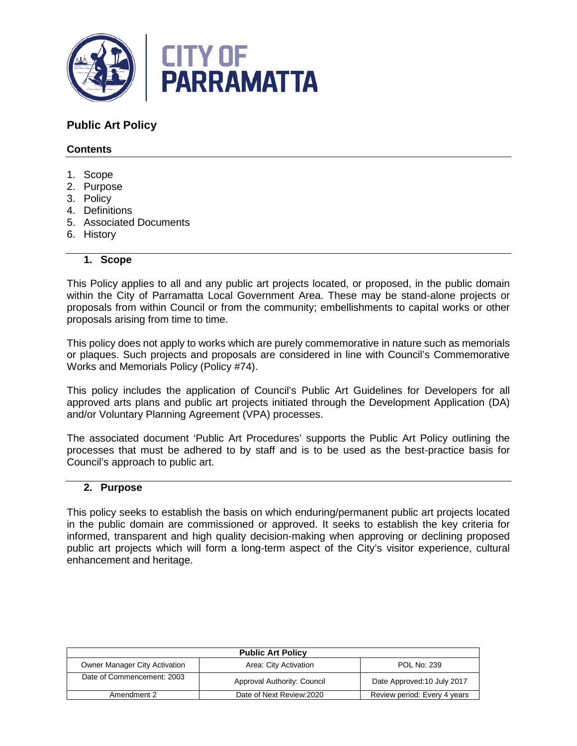

# **Public Art Policy**

### **Contents**

- 1. Scope
- 2. Purpose
- 3. Policy
- 4. Definitions
- 5. Associated Documents
- 6. History

#### **1. Scope**

This Policy applies to all and any public art projects located, or proposed, in the public domain within the City of Parramatta Local Government Area. These may be stand-alone projects or proposals from within Council or from the community; embellishments to capital works or other proposals arising from time to time.

This policy does not apply to works which are purely commemorative in nature such as memorials or plaques. Such projects and proposals are considered in line with Council's Commemorative Works and Memorials Policy (Policy #74).

This policy includes the application of Council's Public Art Guidelines for Developers for all approved arts plans and public art projects initiated through the Development Application (DA) and/or Voluntary Planning Agreement (VPA) processes.

The associated document 'Public Art Procedures' supports the Public Art Policy outlining the processes that must be adhered to by staff and is to be used as the best-practice basis for Council's approach to public art.

### **2. Purpose**

This policy seeks to establish the basis on which enduring/permanent public art projects located in the public domain are commissioned or approved. It seeks to establish the key criteria for informed, transparent and high quality decision-making when approving or declining proposed public art projects which will form a long-term aspect of the City's visitor experience, cultural enhancement and heritage.

| <b>Public Art Policy</b>      |                             |                              |  |
|-------------------------------|-----------------------------|------------------------------|--|
| Owner Manager City Activation | Area: City Activation       | <b>POL No: 239</b>           |  |
| Date of Commencement: 2003    | Approval Authority: Council | Date Approved: 10 July 2017  |  |
| Amendment 2                   | Date of Next Review: 2020   | Review period: Every 4 years |  |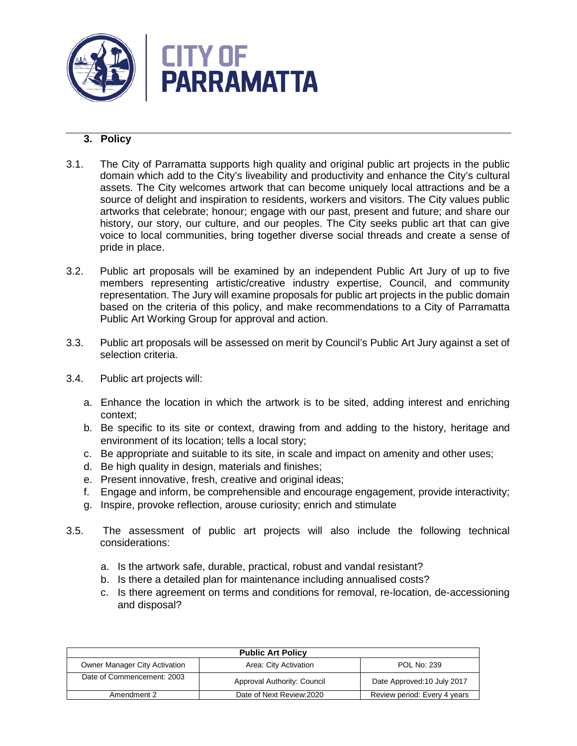

## **3. Policy**

- 3.1. The City of Parramatta supports high quality and original public art projects in the public domain which add to the City's liveability and productivity and enhance the City's cultural assets. The City welcomes artwork that can become uniquely local attractions and be a source of delight and inspiration to residents, workers and visitors. The City values public artworks that celebrate; honour; engage with our past, present and future; and share our history, our story, our culture, and our peoples. The City seeks public art that can give voice to local communities, bring together diverse social threads and create a sense of pride in place.
- 3.2. Public art proposals will be examined by an independent Public Art Jury of up to five members representing artistic/creative industry expertise, Council, and community representation. The Jury will examine proposals for public art projects in the public domain based on the criteria of this policy, and make recommendations to a City of Parramatta Public Art Working Group for approval and action.
- 3.3. Public art proposals will be assessed on merit by Council's Public Art Jury against a set of selection criteria.
- 3.4. Public art projects will:
	- a. Enhance the location in which the artwork is to be sited, adding interest and enriching context;
	- b. Be specific to its site or context, drawing from and adding to the history, heritage and environment of its location; tells a local story;
	- c. Be appropriate and suitable to its site, in scale and impact on amenity and other uses;
	- d. Be high quality in design, materials and finishes;
	- e. Present innovative, fresh, creative and original ideas;
	- f. Engage and inform, be comprehensible and encourage engagement, provide interactivity;
	- g. Inspire, provoke reflection, arouse curiosity; enrich and stimulate
- 3.5. The assessment of public art projects will also include the following technical considerations:
	- a. Is the artwork safe, durable, practical, robust and vandal resistant?
	- b. Is there a detailed plan for maintenance including annualised costs?
	- c. Is there agreement on terms and conditions for removal, re-location, de-accessioning and disposal?

| <b>Public Art Policy</b>             |                             |                              |  |  |
|--------------------------------------|-----------------------------|------------------------------|--|--|
| <b>Owner Manager City Activation</b> | Area: City Activation       | <b>POL No: 239</b>           |  |  |
| Date of Commencement: 2003           | Approval Authority: Council | Date Approved: 10 July 2017  |  |  |
| Amendment 2                          | Date of Next Review: 2020   | Review period: Every 4 years |  |  |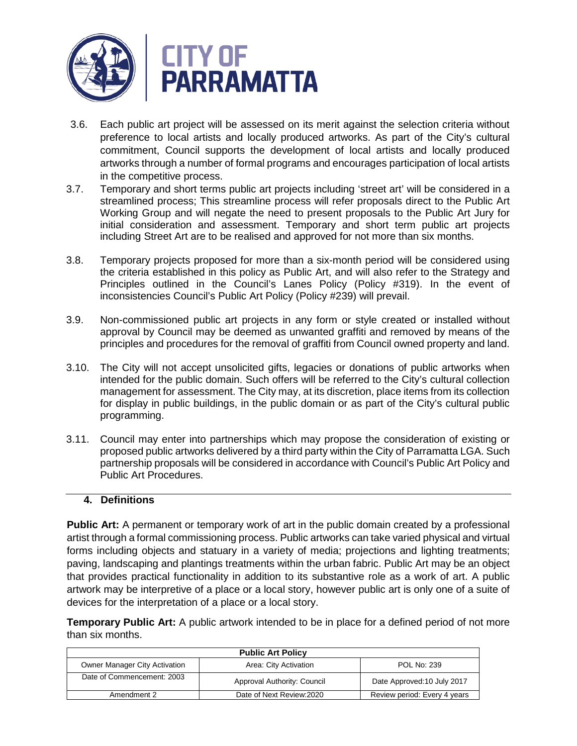

- 3.6. Each public art project will be assessed on its merit against the selection criteria without preference to local artists and locally produced artworks. As part of the City's cultural commitment, Council supports the development of local artists and locally produced artworks through a number of formal programs and encourages participation of local artists in the competitive process.
- 3.7. Temporary and short terms public art projects including 'street art' will be considered in a streamlined process; This streamline process will refer proposals direct to the Public Art Working Group and will negate the need to present proposals to the Public Art Jury for initial consideration and assessment. Temporary and short term public art projects including Street Art are to be realised and approved for not more than six months.
- 3.8. Temporary projects proposed for more than a six-month period will be considered using the criteria established in this policy as Public Art, and will also refer to the Strategy and Principles outlined in the Council's Lanes Policy (Policy #319). In the event of inconsistencies Council's Public Art Policy (Policy #239) will prevail.
- 3.9. Non-commissioned public art projects in any form or style created or installed without approval by Council may be deemed as unwanted graffiti and removed by means of the principles and procedures for the removal of graffiti from Council owned property and land.
- 3.10. The City will not accept unsolicited gifts, legacies or donations of public artworks when intended for the public domain. Such offers will be referred to the City's cultural collection management for assessment. The City may, at its discretion, place items from its collection for display in public buildings, in the public domain or as part of the City's cultural public programming.
- 3.11. Council may enter into partnerships which may propose the consideration of existing or proposed public artworks delivered by a third party within the City of Parramatta LGA. Such partnership proposals will be considered in accordance with Council's Public Art Policy and Public Art Procedures.

### **4. Definitions**

**Public Art:** A permanent or temporary work of art in the public domain created by a professional artist through a formal commissioning process. Public artworks can take varied physical and virtual forms including objects and statuary in a variety of media; projections and lighting treatments; paving, landscaping and plantings treatments within the urban fabric. Public Art may be an object that provides practical functionality in addition to its substantive role as a work of art. A public artwork may be interpretive of a place or a local story, however public art is only one of a suite of devices for the interpretation of a place or a local story.

**Temporary Public Art:** A public artwork intended to be in place for a defined period of not more than six months.

| <b>Public Art Policy</b>             |                             |                              |  |  |
|--------------------------------------|-----------------------------|------------------------------|--|--|
| <b>Owner Manager City Activation</b> | Area: City Activation       | <b>POL No: 239</b>           |  |  |
| Date of Commencement: 2003           | Approval Authority: Council | Date Approved: 10 July 2017  |  |  |
| Amendment 2                          | Date of Next Review: 2020   | Review period: Every 4 years |  |  |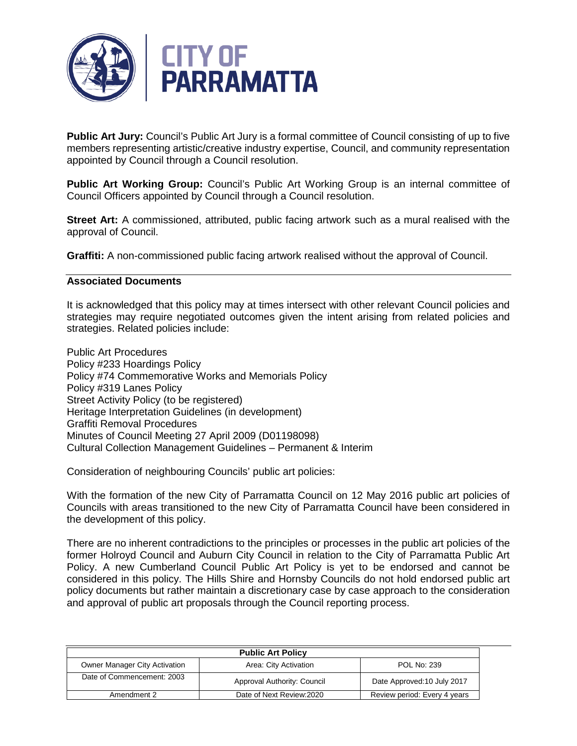

**Public Art Jury:** Council's Public Art Jury is a formal committee of Council consisting of up to five members representing artistic/creative industry expertise, Council, and community representation appointed by Council through a Council resolution.

**Public Art Working Group:** Council's Public Art Working Group is an internal committee of Council Officers appointed by Council through a Council resolution.

**Street Art:** A commissioned, attributed, public facing artwork such as a mural realised with the approval of Council.

**Graffiti:** A non-commissioned public facing artwork realised without the approval of Council.

#### **Associated Documents**

It is acknowledged that this policy may at times intersect with other relevant Council policies and strategies may require negotiated outcomes given the intent arising from related policies and strategies. Related policies include:

Public Art Procedures Policy #233 Hoardings Policy Policy #74 Commemorative Works and Memorials Policy Policy #319 Lanes Policy Street Activity Policy (to be registered) Heritage Interpretation Guidelines (in development) Graffiti Removal Procedures Minutes of Council Meeting 27 April 2009 (D01198098) Cultural Collection Management Guidelines – Permanent & Interim

Consideration of neighbouring Councils' public art policies:

With the formation of the new City of Parramatta Council on 12 May 2016 public art policies of Councils with areas transitioned to the new City of Parramatta Council have been considered in the development of this policy.

There are no inherent contradictions to the principles or processes in the public art policies of the former Holroyd Council and Auburn City Council in relation to the City of Parramatta Public Art Policy. A new Cumberland Council Public Art Policy is yet to be endorsed and cannot be considered in this policy. The Hills Shire and Hornsby Councils do not hold endorsed public art policy documents but rather maintain a discretionary case by case approach to the consideration and approval of public art proposals through the Council reporting process.

| <b>Public Art Policy</b>             |                             |                              |
|--------------------------------------|-----------------------------|------------------------------|
| <b>Owner Manager City Activation</b> | Area: City Activation       | POL No: 239                  |
| Date of Commencement: 2003           | Approval Authority: Council | Date Approved: 10 July 2017  |
| Amendment 2                          | Date of Next Review: 2020   | Review period: Every 4 years |